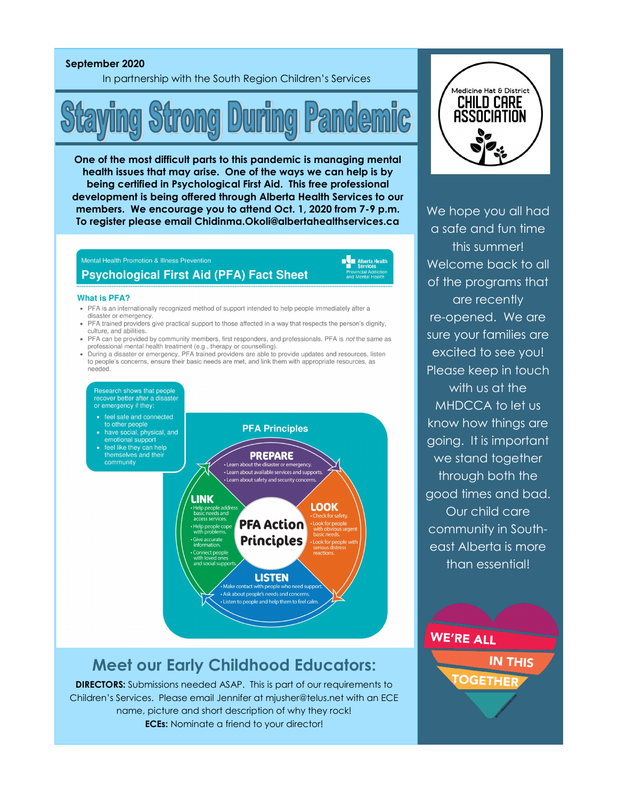### **September 2020**

In partnership with the South Region Children's Services



**One of the most difficult parts to this pandemic is managing mental health issues that may arise. One of the ways we can help is by being certified in Psychological First Aid. This free professional development is being offered through Alberta Health Services to our members. We encourage you to attend Oct. 1, 2020 from 7-9 p.m. To register please email Chidinma.Okoli@albertahealthservices.ca** 

## Mental Health Promotion & Illness Prevention **Psychological First Aid (PFA) Fact Sheet**

**No Alberta Health** 

#### **What is PFA?**

- PFA is an internationally recognized method of support intended to help people immediately after a
- disaster or emergency • PFA trained providers give practical support to those affected in a way that respects the person's dignity, culture, and abilities.
- PFA can be provided by community members, first responders, and professionals. PFA is not the same as professional mental health treatment (e.g., therapy or counselling).
- During a disaster or emergency, PFA trained providers are able to provide updates and resources, listen to people's concerns, ensure their basic needs are met, and link them with appropriate resources, as needed.

Research shows that people<br>recover better after a disaster or emergency if they:

- 
- to other people<br>have social, physical, and
- emotional support feel like they can help
- themselves and their community



# **Meet our Early Childhood Educators:**

**DIRECTORS:** Submissions needed ASAP. This is part of our requirements to Children's Services. Please email Jennifer at mjusher@telus.net with an ECE name, picture and short description of why they rock! **ECEs:** Nominate a friend to your director!



We hope you all had a safe and fun time this summer! Welcome back to all of the programs that are recently re-opened. We are sure your families are excited to see you! Please keep in touch with us at the MHDCCA to let us know how things are going. It is important we stand together through both the good times and bad. Our child care community in Southeast Alberta is more than essential!

**WE'RE ALL IN THIS** 

OGETHE